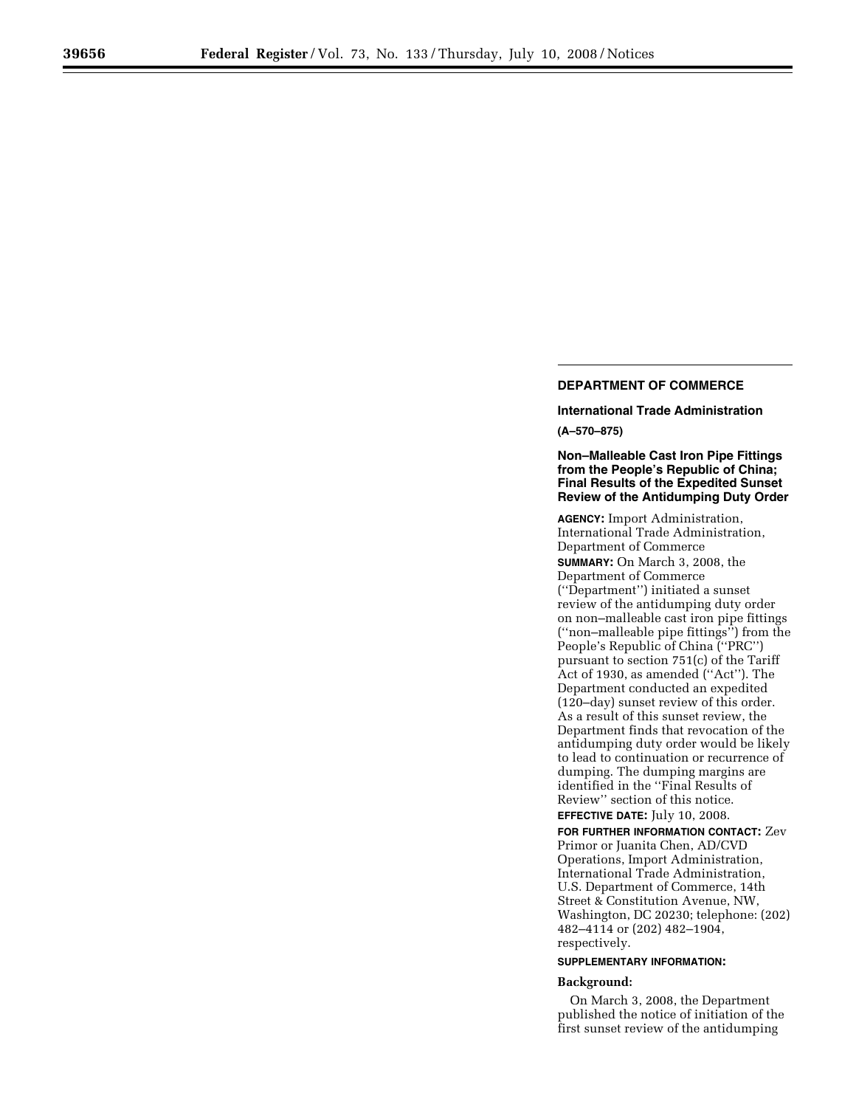## **DEPARTMENT OF COMMERCE**

# **International Trade Administration**

**(A–570–875)** 

**Non–Malleable Cast Iron Pipe Fittings from the People's Republic of China; Final Results of the Expedited Sunset Review of the Antidumping Duty Order** 

**AGENCY:** Import Administration, International Trade Administration, Department of Commerce

**SUMMARY:** On March 3, 2008, the Department of Commerce (''Department'') initiated a sunset review of the antidumping duty order on non–malleable cast iron pipe fittings (''non–malleable pipe fittings'') from the People's Republic of China (''PRC'') pursuant to section 751(c) of the Tariff Act of 1930, as amended (''Act''). The Department conducted an expedited (120–day) sunset review of this order. As a result of this sunset review, the Department finds that revocation of the antidumping duty order would be likely to lead to continuation or recurrence of dumping. The dumping margins are identified in the ''Final Results of Review'' section of this notice.

**EFFECTIVE DATE:** July 10, 2008. **FOR FURTHER INFORMATION CONTACT:** Zev Primor or Juanita Chen, AD/CVD Operations, Import Administration, International Trade Administration, U.S. Department of Commerce, 14th Street & Constitution Avenue, NW, Washington, DC 20230; telephone: (202) 482–4114 or (202) 482–1904, respectively.

### **SUPPLEMENTARY INFORMATION:**

### **Background:**

On March 3, 2008, the Department published the notice of initiation of the first sunset review of the antidumping